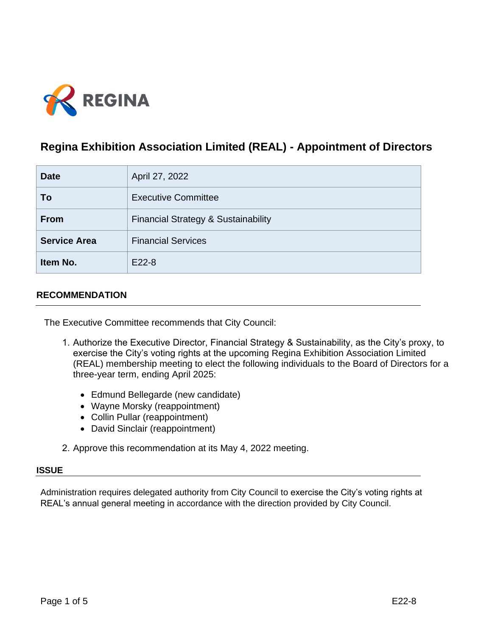

# **Regina Exhibition Association Limited (REAL) - Appointment of Directors**

| <b>Date</b>         | April 27, 2022                                 |
|---------------------|------------------------------------------------|
| To                  | <b>Executive Committee</b>                     |
| <b>From</b>         | <b>Financial Strategy &amp; Sustainability</b> |
| <b>Service Area</b> | <b>Financial Services</b>                      |
| Item No.            | E22-8                                          |

## **RECOMMENDATION**

The Executive Committee recommends that City Council:

- 1. Authorize the Executive Director, Financial Strategy & Sustainability, as the City's proxy, to exercise the City's voting rights at the upcoming Regina Exhibition Association Limited (REAL) membership meeting to elect the following individuals to the Board of Directors for a three-year term, ending April 2025:
	- Edmund Bellegarde (new candidate)
	- Wayne Morsky (reappointment)
	- Collin Pullar (reappointment)
	- David Sinclair (reappointment)
- 2. Approve this recommendation at its May 4, 2022 meeting.

#### **ISSUE**

Administration requires delegated authority from City Council to exercise the City's voting rights at REAL's annual general meeting in accordance with the direction provided by City Council.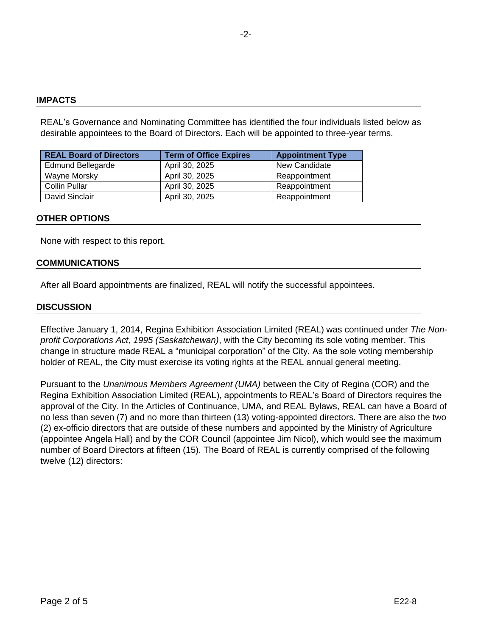#### **IMPACTS**

REAL's Governance and Nominating Committee has identified the four individuals listed below as desirable appointees to the Board of Directors. Each will be appointed to three-year terms.

| <b>REAL Board of Directors</b> | <b>Term of Office Expires</b> | <b>Appointment Type</b> |
|--------------------------------|-------------------------------|-------------------------|
| <b>Edmund Bellegarde</b>       | April 30, 2025                | New Candidate           |
| Wayne Morsky                   | April 30, 2025                | Reappointment           |
| <b>Collin Pullar</b>           | April 30, 2025                | Reappointment           |
| David Sinclair                 | April 30, 2025                | Reappointment           |

#### **OTHER OPTIONS**

None with respect to this report.

#### **COMMUNICATIONS**

After all Board appointments are finalized, REAL will notify the successful appointees.

#### **DISCUSSION**

Effective January 1, 2014, Regina Exhibition Association Limited (REAL) was continued under *The Nonprofit Corporations Act, 1995 (Saskatchewan)*, with the City becoming its sole voting member. This change in structure made REAL a "municipal corporation" of the City. As the sole voting membership holder of REAL, the City must exercise its voting rights at the REAL annual general meeting.

Pursuant to the *Unanimous Members Agreement (UMA)* between the City of Regina (COR) and the Regina Exhibition Association Limited (REAL), appointments to REAL's Board of Directors requires the approval of the City. In the Articles of Continuance, UMA, and REAL Bylaws, REAL can have a Board of no less than seven (7) and no more than thirteen (13) voting-appointed directors. There are also the two (2) ex-officio directors that are outside of these numbers and appointed by the Ministry of Agriculture (appointee Angela Hall) and by the COR Council (appointee Jim Nicol), which would see the maximum number of Board Directors at fifteen (15). The Board of REAL is currently comprised of the following twelve (12) directors: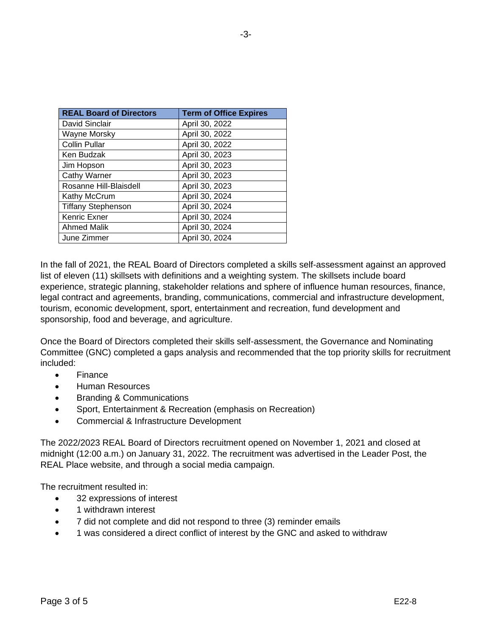| <b>Term of Office Expires</b> |
|-------------------------------|
| April 30, 2022                |
| April 30, 2022                |
| April 30, 2022                |
| April 30, 2023                |
| April 30, 2023                |
| April 30, 2023                |
| April 30, 2023                |
| April 30, 2024                |
| April 30, 2024                |
| April 30, 2024                |
| April 30, 2024                |
| April 30, 2024                |
|                               |

In the fall of 2021, the REAL Board of Directors completed a skills self-assessment against an approved list of eleven (11) skillsets with definitions and a weighting system. The skillsets include board experience, strategic planning, stakeholder relations and sphere of influence human resources, finance, legal contract and agreements, branding, communications, commercial and infrastructure development, tourism, economic development, sport, entertainment and recreation, fund development and sponsorship, food and beverage, and agriculture.

Once the Board of Directors completed their skills self-assessment, the Governance and Nominating Committee (GNC) completed a gaps analysis and recommended that the top priority skills for recruitment included:

- Finance
- Human Resources
- Branding & Communications
- Sport, Entertainment & Recreation (emphasis on Recreation)
- Commercial & Infrastructure Development

The 2022/2023 REAL Board of Directors recruitment opened on November 1, 2021 and closed at midnight (12:00 a.m.) on January 31, 2022. The recruitment was advertised in the Leader Post, the REAL Place website, and through a social media campaign.

The recruitment resulted in:

- 32 expressions of interest
- 1 withdrawn interest
- 7 did not complete and did not respond to three (3) reminder emails
- 1 was considered a direct conflict of interest by the GNC and asked to withdraw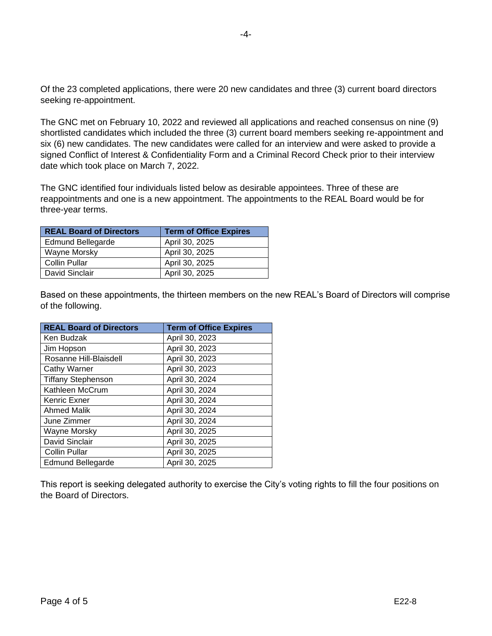Of the 23 completed applications, there were 20 new candidates and three (3) current board directors seeking re-appointment.

The GNC met on February 10, 2022 and reviewed all applications and reached consensus on nine (9) shortlisted candidates which included the three (3) current board members seeking re-appointment and six (6) new candidates. The new candidates were called for an interview and were asked to provide a signed Conflict of Interest & Confidentiality Form and a Criminal Record Check prior to their interview date which took place on March 7, 2022.

The GNC identified four individuals listed below as desirable appointees. Three of these are reappointments and one is a new appointment. The appointments to the REAL Board would be for three-year terms.

| <b>REAL Board of Directors</b> | <b>Term of Office Expires</b> |
|--------------------------------|-------------------------------|
| <b>Edmund Bellegarde</b>       | April 30, 2025                |
| Wayne Morsky                   | April 30, 2025                |
| Collin Pullar                  | April 30, 2025                |
| David Sinclair                 | April 30, 2025                |

Based on these appointments, the thirteen members on the new REAL's Board of Directors will comprise of the following.

| <b>REAL Board of Directors</b> | <b>Term of Office Expires</b> |
|--------------------------------|-------------------------------|
| Ken Budzak                     | April 30, 2023                |
| Jim Hopson                     | April 30, 2023                |
| Rosanne Hill-Blaisdell         | April 30, 2023                |
| <b>Cathy Warner</b>            | April 30, 2023                |
| <b>Tiffany Stephenson</b>      | April 30, 2024                |
| Kathleen McCrum                | April 30, 2024                |
| Kenric Exner                   | April 30, 2024                |
| <b>Ahmed Malik</b>             | April 30, 2024                |
| June Zimmer                    | April 30, 2024                |
| Wayne Morsky                   | April 30, 2025                |
| David Sinclair                 | April 30, 2025                |
| <b>Collin Pullar</b>           | April 30, 2025                |
| <b>Edmund Bellegarde</b>       | April 30, 2025                |

This report is seeking delegated authority to exercise the City's voting rights to fill the four positions on the Board of Directors.